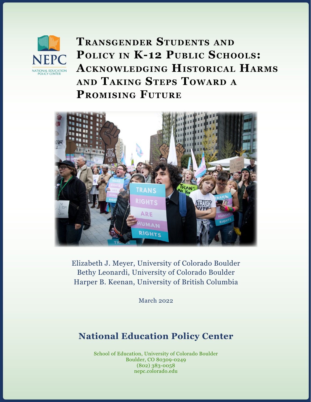

**Transgender Students and** POLICY IN **K-12 PUBLIC SCHOOLS: Acknowledging Historical Harms and Taking Steps Toward <sup>a</sup> Promising Future**



Elizabeth J. Meyer, University of Colorado Boulder Bethy Leonardi, University of Colorado Boulder Harper B. Keenan, University of British Columbia

March 2022

# **National Education Policy Center**

School of Education, University of Colorado Boulder Boulder, CO 80309-0249 (802) 383-0058 nepc.colorado.edu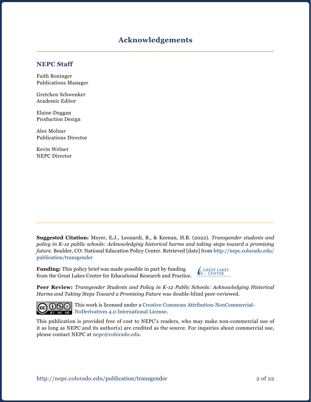# **Acknowledgements**

#### **NEPC Staff**

Faith Boninger Publications Manager

Gretchen Schwenker Academic Editor

Elaine Duggan Production Design

Alex Molnar Publications Director

Kevin Welner NEPC Director

**Suggested Citation:** Meyer, E.J., Leonardi, B., & Keenan, H.B. (2022). *Transgender students and policy in K-12 public schools: Acknowledging historical harms and taking steps toward a promising future.* Boulder, CO: National Education Policy Center. Retrieved [date] from [http://nepc.colorado.edu/](http://nepc.colorado.edu/publication/transgender) [publication/transgender](http://nepc.colorado.edu/publication/transgender)

**Funding:** This policy brief was made possible in part by funding from the Great Lakes Center for Educational Research and Practice.



**Peer Review:** *Transgender Students and Policy in K-12 Public Schools: Acknowledging Historical Harms and Taking Steps Toward a Promising Future* was double-blind peer-reviewed.



**COOO** This work is licensed under a [Creative Commons Attribution-NonCommercial-](https://creativecommons.org/licenses/by-nc-nd/4.0/)**BY NODER DERIVATE:** [NoDerivatives 4.0 International License](https://creativecommons.org/licenses/by-nc-nd/4.0/).

This publication is provided free of cost to NEPC's readers, who may make non-commercial use of it as long as NEPC and its author(s) are credited as the source. For inquiries about commercial use, please contact NEPC at [nepc@colorado.edu](mailto:nepc%40colorado.edu?subject=).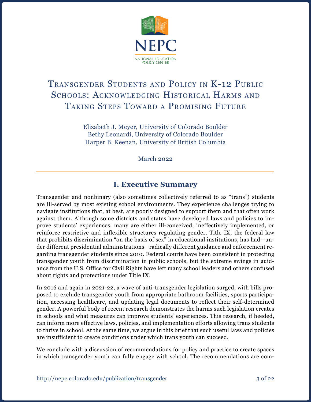

# Transgender Students and Policy in K-12 Public SCHOOLS: ACKNOWLEDGING HISTORICAL HARMS AND Taking Steps Toward a Promising Future

Elizabeth J. Meyer, University of Colorado Boulder Bethy Leonardi, University of Colorado Boulder Harper B. Keenan, University of British Columbia

March 2022

# **I. Executive Summary**

Transgender and nonbinary (also sometimes collectively referred to as "trans") students are ill-served by most existing school environments. They experience challenges trying to navigate institutions that, at best, are poorly designed to support them and that often work against them. Although some districts and states have developed laws and policies to improve students' experiences, many are either ill-conceived, ineffectively implemented, or reinforce restrictive and inflexible structures regulating gender. Title IX, the federal law that prohibits discrimination "on the basis of sex" in educational institutions, has had—under different presidential administrations—radically different guidance and enforcement regarding transgender students since 2010. Federal courts have been consistent in protecting transgender youth from discrimination in public schools, but the extreme swings in guidance from the U.S. Office for Civil Rights have left many school leaders and others confused about rights and protections under Title IX.

In 2016 and again in 2021-22, a wave of anti-transgender legislation surged, with bills proposed to exclude transgender youth from appropriate bathroom facilities, sports participation, accessing healthcare, and updating legal documents to reflect their self-determined gender. A powerful body of recent research demonstrates the harms such legislation creates in schools and what measures can improve students' experiences. This research, if heeded, can inform more effective laws, policies, and implementation efforts allowing trans students to thrive in school. At the same time, we argue in this brief that such useful laws and policies are insufficient to create conditions under which trans youth can succeed.

We conclude with a discussion of recommendations for policy and practice to create spaces in which transgender youth can fully engage with school. The recommendations are com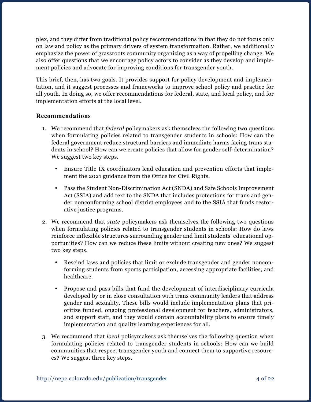plex, and they differ from traditional policy recommendations in that they do not focus only on law and policy as the primary drivers of system transformation. Rather, we additionally emphasize the power of grassroots community organizing as a way of propelling change. We also offer questions that we encourage policy actors to consider as they develop and implement policies and advocate for improving conditions for transgender youth.

This brief, then, has two goals. It provides support for policy development and implementation, and it suggest processes and frameworks to improve school policy and practice for all youth. In doing so, we offer recommendations for federal, state, and local policy, and for implementation efforts at the local level.

#### **Recommendations**

- 1. We recommend that *federal* policymakers ask themselves the following two questions when formulating policies related to transgender students in schools: How can the federal government reduce structural barriers and immediate harms facing trans students in school? How can we create policies that allow for gender self-determination? We suggest two key steps.
	- Ensure Title IX coordinators lead education and prevention efforts that implement the 2021 guidance from the Office for Civil Rights.
	- • Pass the Student Non-Discrimination Act (SNDA) and Safe Schools Improvement Act (SSIA) and add text to the SNDA that includes protections for trans and gender nonconforming school district employees and to the SSIA that funds restorative justice programs.
- 2. We recommend that *state* policymakers ask themselves the following two questions when formulating policies related to transgender students in schools: How do laws reinforce inflexible structures surrounding gender and limit students' educational opportunities? How can we reduce these limits without creating new ones? We suggest two key steps.
	- Rescind laws and policies that limit or exclude transgender and gender nonconforming students from sports participation, accessing appropriate facilities, and healthcare.
	- • Propose and pass bills that fund the development of interdisciplinary curricula developed by or in close consultation with trans community leaders that address gender and sexuality. These bills would include implementation plans that prioritize funded, ongoing professional development for teachers, administrators, and support staff, and they would contain accountability plans to ensure timely implementation and quality learning experiences for all.
- 3. We recommend that *local* policymakers ask themselves the following question when formulating policies related to transgender students in schools: How can we build communities that respect transgender youth and connect them to supportive resources? We suggest three key steps.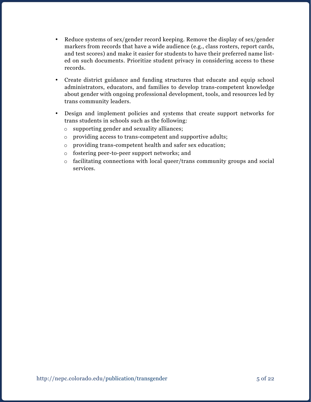- Reduce systems of sex/gender record keeping. Remove the display of sex/gender markers from records that have a wide audience (e.g., class rosters, report cards, and test scores) and make it easier for students to have their preferred name listed on such documents. Prioritize student privacy in considering access to these records.
- • Create district guidance and funding structures that educate and equip school administrators, educators, and families to develop trans-competent knowledge about gender with ongoing professional development, tools, and resources led by trans community leaders.
- • Design and implement policies and systems that create support networks for trans students in schools such as the following:
	- o supporting gender and sexuality alliances;
	- o providing access to trans-competent and supportive adults;
	- o providing trans-competent health and safer sex education;
	- o fostering peer-to-peer support networks; and
	- o facilitating connections with local queer/trans community groups and social services.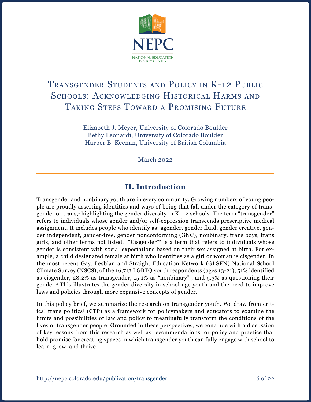

# Transgender Students and Policy in K-12 Public SCHOOLS: ACKNOWLEDGING HISTORICAL HARMS AND Taking Steps Toward a Promising Future

Elizabeth J. Meyer, University of Colorado Boulder Bethy Leonardi, University of Colorado Boulder Harper B. Keenan, University of British Columbia

March 2022

# **II. Introduction**

Transgender and nonbinary youth are in every community. Growing numbers of young people are proudly asserting identities and ways of being that fall under the category of transgender or trans,<sup>1</sup> highlighting the gender diversity in K–12 schools. The term "transgender" refers to individuals whose gender and/or self-expression transcends prescriptive medical assignment. It includes people who identify as: agender, gender fluid, gender creative, gender independent, gender-free, gender nonconforming (GNC), nonbinary, trans boys, trans girls, and other terms not listed. "Cisgender"<sup>2</sup> is a term that refers to individuals whose gender is consistent with social expectations based on their sex assigned at birth. For example, a child designated female at birth who identifies as a girl or woman is cisgender. In the most recent Gay, Lesbian and Straight Education Network (GLSEN) National School Climate Survey (NSCS), of the 16,713 LGBTQ youth respondents (ages 13-21), 51% identified as cisgender, 28.2% as transgender, 15.1% as "nonbinary"3, and 5.3% as questioning their gender.4 This illustrates the gender diversity in school-age youth and the need to improve laws and policies through more expansive concepts of gender.

In this policy brief, we summarize the research on transgender youth. We draw from critical trans politics<sup>5</sup> (CTP) as a framework for policymakers and educators to examine the limits and possibilities of law and policy to meaningfully transform the conditions of the lives of transgender people. Grounded in these perspectives, we conclude with a discussion of key lessons from this research as well as recommendations for policy and practice that hold promise for creating spaces in which transgender youth can fully engage with school to learn, grow, and thrive.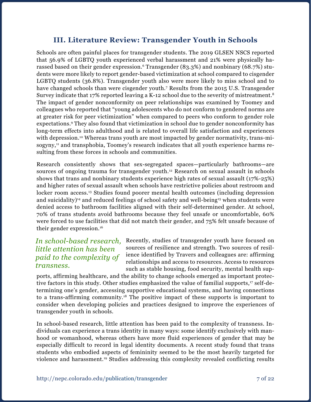# **III. Literature Review: Transgender Youth in Schools**

Schools are often painful places for transgender students. The 2019 GLSEN NSCS reported that 56.9% of LGBTQ youth experienced verbal harassment and 21% were physically harassed based on their gender expression.<sup>6</sup> Transgender (83.3%) and nonbinary (68.7%) students were more likely to report gender-based victimization at school compared to cisgender LGBTQ students (36.8%). Transgender youth also were more likely to miss school and to have changed schools than were cisgender youth.<sup>7</sup> Results from the 2015 U.S. Transgender Survey indicate that 17% reported leaving a K-12 school due to the severity of mistreatment.<sup>8</sup> The impact of gender nonconformity on peer relationships was examined by Toomey and colleagues who reported that "young adolescents who do not conform to gendered norms are at greater risk for peer victimization" when compared to peers who conform to gender role expectations.9 They also found that victimization in school due to gender nonconformity has long-term effects into adulthood and is related to overall life satisfaction and experiences with depression.<sup>10</sup> Whereas trans youth are most impacted by gender normativity, trans-misogyny,<sup>11</sup> and transphobia, Toomey's research indicates that all youth experience harms resulting from these forces in schools and communities.

Research consistently shows that sex-segregated spaces—particularly bathrooms—are sources of ongoing trauma for transgender youth.<sup>12</sup> Research on sexual assault in schools shows that trans and nonbinary students experience high rates of sexual assault (17%-25%) and higher rates of sexual assault when schools have restrictive policies about restroom and locker room access.<sup>13</sup> Studies found poorer mental health outcomes (including depression and suicidality)<sup>14</sup> and reduced feelings of school safety and well-being<sup>15</sup> when students were denied access to bathroom facilities aligned with their self-determined gender. At school, 70% of trans students avoid bathrooms because they feel unsafe or uncomfortable, 60% were forced to use facilities that did not match their gender, and 75% felt unsafe because of their gender expression.16

### *In school-based research, little attention has been paid to the complexity of transness.*

Recently, studies of transgender youth have focused on sources of resilience and strength. Two sources of resilience identified by Travers and colleagues are: affirming relationships and access to resources. Access to resources such as stable housing, food security, mental health sup-

ports, affirming healthcare, and the ability to change schools emerged as important protective factors in this study. Other studies emphasized the value of familial supports,<sup>17</sup> self-determining one's gender, accessing supportive educational systems, and having connections to a trans-affirming community.18 The positive impact of these supports is important to consider when developing policies and practices designed to improve the experiences of transgender youth in schools.

In school-based research, little attention has been paid to the complexity of transness. Individuals can experience a trans identity in many ways: some identify exclusively with manhood or womanhood, whereas others have more fluid experiences of gender that may be especially difficult to record in legal identity documents. A recent study found that trans students who embodied aspects of femininity seemed to be the most heavily targeted for violence and harassment.19 Studies addressing this complexity revealed conflicting results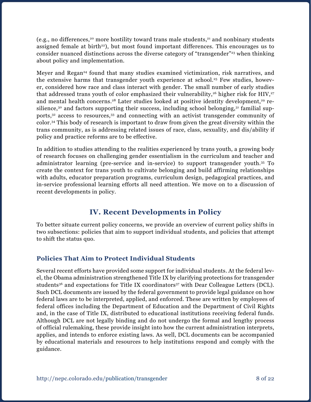(e.g., no differences,<sup>20</sup> more hostility toward trans male students,<sup>21</sup> and nonbinary students assigned female at birth<sup>22</sup>), but most found important differences. This encourages us to consider nuanced distinctions across the diverse category of "transgender"<sup>23</sup> when thinking about policy and implementation.

Meyer and Regan<sup>24</sup> found that many studies examined victimization, risk narratives, and the extensive harms that transgender youth experience at school.<sup>25</sup> Few studies, however, considered how race and class interact with gender. The small number of early studies that addressed trans youth of color emphasized their vulnerability,<sup>26</sup> higher risk for HIV,<sup>27</sup> and mental health concerns.<sup>28</sup> Later studies looked at positive identity development,<sup>29</sup> resilience, $30$  and factors supporting their success, including school belonging, $31$  familial supports,32 access to resources,33 and connecting with an activist transgender community of color.34 This body of research is important to draw from given the great diversity within the trans community, as is addressing related issues of race, class, sexuality, and dis/ability if policy and practice reforms are to be effective.

In addition to studies attending to the realities experienced by trans youth, a growing body of research focuses on challenging gender essentialism in the curriculum and teacher and administrator learning (pre-service and in-service) to support transgender youth.35 To create the context for trans youth to cultivate belonging and build affirming relationships with adults, educator preparation programs, curriculum design, pedagogical practices, and in-service professional learning efforts all need attention. We move on to a discussion of recent developments in policy.

# **IV. Recent Developments in Policy**

To better situate current policy concerns, we provide an overview of current policy shifts in two subsections: policies that aim to support individual students, and policies that attempt to shift the status quo.

## **Policies That Aim to Protect Individual Students**

Several recent efforts have provided some support for individual students. At the federal level, the Obama administration strengthened Title IX by clarifying protections for transgender students<sup>36</sup> and expectations for Title IX coordinators<sup>37</sup> with Dear Colleague Letters (DCL). Such DCL documents are issued by the federal government to provide legal guidance on how federal laws are to be interpreted, applied, and enforced. These are written by employees of federal offices including the Department of Education and the Department of Civil Rights and, in the case of Title IX, distributed to educational institutions receiving federal funds. Although DCL are not legally binding and do not undergo the formal and lengthy process of official rulemaking, these provide insight into how the current administration interprets, applies, and intends to enforce existing laws. As well, DCL documents can be accompanied by educational materials and resources to help institutions respond and comply with the guidance.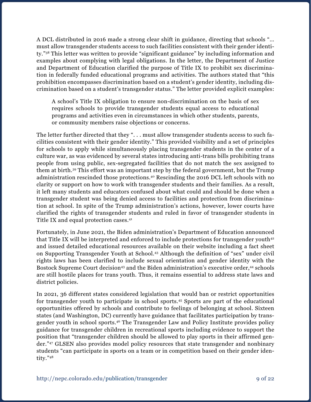A DCL distributed in 2016 made a strong clear shift in guidance, directing that schools "… must allow transgender students access to such facilities consistent with their gender identity."38 This letter was written to provide "significant guidance" by including information and examples about complying with legal obligations. In the letter, the Department of Justice and Department of Education clarified the purpose of Title IX to prohibit sex discrimination in federally funded educational programs and activities. The authors stated that "this prohibition encompasses discrimination based on a student's gender identity, including discrimination based on a student's transgender status." The letter provided explicit examples:

A school's Title IX obligation to ensure non-discrimination on the basis of sex requires schools to provide transgender students equal access to educational programs and activities even in circumstances in which other students, parents, or community members raise objections or concerns.

The letter further directed that they "... must allow transgender students access to such facilities consistent with their gender identity." This provided visibility and a set of principles for schools to apply while simultaneously placing transgender students in the center of a culture war, as was evidenced by several states introducing anti-trans bills prohibiting trans people from using public, sex-segregated facilities that do not match the sex assigned to them at birth.39 This effort was an important step by the federal government, but the Trump administration rescinded those protections.40 Rescinding the 2016 DCL left schools with no clarity or support on how to work with transgender students and their families. As a result, it left many students and educators confused about what could and should be done when a transgender student was being denied access to facilities and protection from discrimination at school. In spite of the Trump administration's actions, however, lower courts have clarified the rights of transgender students and ruled in favor of transgender students in Title IX and equal protection cases.41

Fortunately, in June 2021, the Biden administration's Department of Education announced that Title IX will be interpreted and enforced to include protections for transgender youth<sup>42</sup> and issued detailed educational resources available on their website including a fact sheet on Supporting Transgender Youth at School.43 Although the definition of "sex" under civil rights laws has been clarified to include sexual orientation and gender identity with the Bostock Supreme Court decision<sup>43</sup> and the Biden administration's executive order,<sup>44</sup> schools are still hostile places for trans youth. Thus, it remains essential to address state laws and district policies.

In 2021, 36 different states considered legislation that would ban or restrict opportunities for transgender youth to participate in school sports.45 Sports are part of the educational opportunities offered by schools and contribute to feelings of belonging at school. Sixteen states (and Washington, DC) currently have guidance that facilitates participation by transgender youth in school sports.46 The Transgender Law and Policy Institute provides policy guidance for transgender children in recreational sports including evidence to support the position that "transgender children should be allowed to play sports in their affirmed gender."47 GLSEN also provides model policy resources that state transgender and nonbinary students "can participate in sports on a team or in competition based on their gender identity."48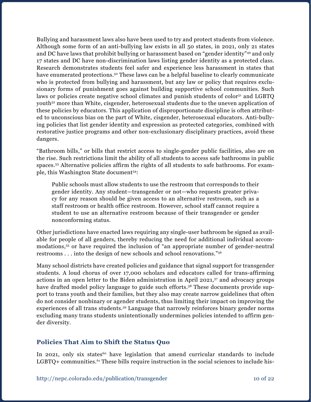Bullying and harassment laws also have been used to try and protect students from violence. Although some form of an anti-bullying law exists in all 50 states, in 2021, only 21 states and DC have laws that prohibit bullying or harassment based on "gender identity"49 and only 17 states and DC have non-discrimination laws listing gender identity as a protected class. Research demonstrates students feel safer and experience less harassment in states that have enumerated protections.<sup>50</sup> These laws can be a helpful baseline to clearly communicate who is protected from bullying and harassment, but any law or policy that requires exclusionary forms of punishment goes against building supportive school communities. Such laws or policies create negative school climates and punish students of color<sup>51</sup> and LGBTQ youth52 more than White, cisgender, heterosexual students due to the uneven application of these policies by educators. This application of disproportionate discipline is often attributed to unconscious bias on the part of White, cisgender, heterosexual educators. Anti-bullying policies that list gender identity and expression as protected categories, combined with restorative justice programs and other non-exclusionary disciplinary practices, avoid these dangers.

"Bathroom bills," or bills that restrict access to single-gender public facilities, also are on the rise. Such restrictions limit the ability of all students to access safe bathrooms in public spaces.53 Alternative policies affirm the rights of all students to safe bathrooms. For example, this Washington State document<sup>54</sup>:

Public schools must allow students to use the restroom that corresponds to their gender identity. Any student—transgender or not—who requests greater privacy for any reason should be given access to an alternative restroom, such as a staff restroom or health office restroom. However, school staff cannot require a student to use an alternative restroom because of their transgender or gender nonconforming status.

Other jurisdictions have enacted laws requiring any single-user bathroom be signed as available for people of all genders, thereby reducing the need for additional individual accommodations,55 or have required the inclusion of "an appropriate number of gender-neutral restrooms . . . into the design of new schools and school renovations."56

Many school districts have created policies and guidance that signal support for transgender students. A loud chorus of over 17,000 scholars and educators called for trans-affirming actions in an open letter to the Biden administration in April 2021,57 and advocacy groups have drafted model policy language to guide such efforts.<sup>58</sup> These documents provide support to trans youth and their families, but they also may create narrow guidelines that often do not consider nonbinary or agender students, thus limiting their impact on improving the experiences of all trans students.<sup>59</sup> Language that narrowly reinforces binary gender norms excluding many trans students unintentionally undermines policies intended to affirm gender diversity.

### **Policies That Aim to Shift the Status Quo**

In 2021, only six states<sup>60</sup> have legislation that amend curricular standards to include LGBTQ+ communities.<sup>61</sup> These bills require instruction in the social sciences to include his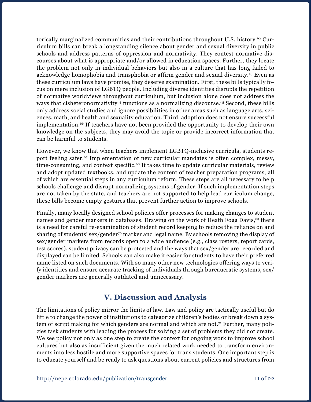torically marginalized communities and their contributions throughout U.S. history.<sup>62</sup> Curriculum bills can break a longstanding silence about gender and sexual diversity in public schools and address patterns of oppression and normativity. They contest normative discourses about what is appropriate and/or allowed in education spaces. Further, they locate the problem not only in individual behaviors but also in a culture that has long failed to acknowledge homophobia and transphobia or affirm gender and sexual diversity.63 Even as these curriculum laws have promise, they deserve examination. First, these bills typically focus on mere inclusion of LGBTQ people. Including diverse identities disrupts the repetition of normative worldviews throughout curriculum, but inclusion alone does not address the ways that cisheteronormativity<sup>64</sup> functions as a normalizing discourse.<sup>65</sup> Second, these bills only address social studies and ignore possibilities in other areas such as language arts, sciences, math, and health and sexuality education. Third, adoption does not ensure successful implementation.<sup>66</sup> If teachers have not been provided the opportunity to develop their own knowledge on the subjects, they may avoid the topic or provide incorrect information that can be harmful to students.

However, we know that when teachers implement LGBTQ-inclusive curricula, students report feeling safer.67 Implementation of new curricular mandates is often complex, messy, time-consuming, and context specific.<sup>68</sup> It takes time to update curricular materials, review and adopt updated textbooks, and update the content of teacher preparation programs, all of which are essential steps in any curriculum reform. These steps are all necessary to help schools challenge and disrupt normalizing systems of gender. If such implementation steps are not taken by the state, and teachers are not supported to help lead curriculum change, these bills become empty gestures that prevent further action to improve schools.

Finally, many locally designed school policies offer processes for making changes to student names and gender markers in databases. Drawing on the work of Heath Fogg Davis,<sup>69</sup> there is a need for careful re-examination of student record keeping to reduce the reliance on and sharing of students' sex/gender<sup>70</sup> marker and legal name. By schools removing the display of sex/gender markers from records open to a wide audience (e.g., class rosters, report cards, test scores), student privacy can be protected and the ways that sex/gender are recorded and displayed can be limited. Schools can also make it easier for students to have their preferred name listed on such documents. With so many other new technologies offering ways to verify identities and ensure accurate tracking of individuals through bureaucratic systems, sex/ gender markers are generally outdated and unnecessary.

# **V. Discussion and Analysis**

The limitations of policy mirror the limits of law. Law and policy are tactically useful but do little to change the power of institutions to categorize children's bodies or break down a system of script making for which genders are normal and which are not.<sup>71</sup> Further, many policies task students with leading the process for solving a set of problems they did not create. We see policy not only as one step to create the context for ongoing work to improve school cultures but also as insufficient given the much related work needed to transform environments into less hostile and more supportive spaces for trans students. One important step is to educate yourself and be ready to ask questions about current policies and structures from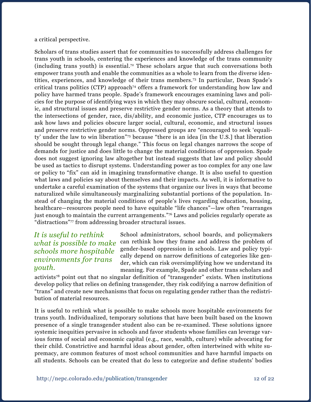a critical perspective.

Scholars of trans studies assert that for communities to successfully address challenges for trans youth in schools, centering the experiences and knowledge of the trans community (including trans youth) is essential.<sup>72</sup> These scholars argue that such conversations both empower trans youth and enable the communities as a whole to learn from the diverse identities, experiences, and knowledge of their trans members.73 In particular, Dean Spade's critical trans politics (CTP) approach<sup> $74$ </sup> offers a framework for understanding how law and policy have harmed trans people. Spade's framework encourages examining laws and policies for the purpose of identifying ways in which they may obscure social, cultural, economic, and structural issues and preserve restrictive gender norms. As a theory that attends to the intersections of gender, race, dis/ability, and economic justice, CTP encourages us to ask how laws and policies obscure larger social, cultural, economic, and structural issues and preserve restrictive gender norms. Oppressed groups are "encouraged to seek 'equality' under the law to win liberation"75 because "there is an idea [in the U.S.] that liberation should be sought through legal change." This focus on legal changes narrows the scope of demands for justice and does little to change the material conditions of oppression. Spade does not suggest ignoring law altogether but instead suggests that law and policy should be used as tactics to disrupt systems. Understanding power as too complex for any one law or policy to "fix" can aid in imagining transformative change. It is also useful to question what laws and policies say about themselves and their impacts. As well, it is informative to undertake a careful examination of the systems that organize our lives in ways that become naturalized while simultaneously marginalizing substantial portions of the population. Instead of changing the material conditions of people's lives regarding education, housing, healthcare—resources people need to have equitable "life chances"—law often "rearranges just enough to maintain the current arrangements."<sup>76</sup> Laws and policies regularly operate as "distractions"77 from addressing broader structural issues.

## *It is useful to rethink what is possible to make schools more hospitable environments for trans youth.*

School administrators, school boards, and policymakers can rethink how they frame and address the problem of gender-based oppression in schools. Law and policy typically depend on narrow definitions of categories like gender, which can risk oversimplifying how we understand its meaning. For example, Spade and other trans scholars and

activists78 point out that no singular definition of "transgender" exists. When institutions develop policy that relies on defining transgender, they risk codifying a narrow definition of "trans" and create new mechanisms that focus on regulating gender rather than the redistribution of material resources.

It is useful to rethink what is possible to make schools more hospitable environments for trans youth. Individualized, temporary solutions that have been built based on the known presence of a single transgender student also can be re-examined. These solutions ignore systemic inequities pervasive in schools and favor students whose families can leverage various forms of social and economic capital (e.g., race, wealth, culture) while advocating for their child. Constrictive and harmful ideas about gender, often intertwined with white supremacy, are common features of most school communities and have harmful impacts on all students. Schools can be created that do less to categorize and define students' bodies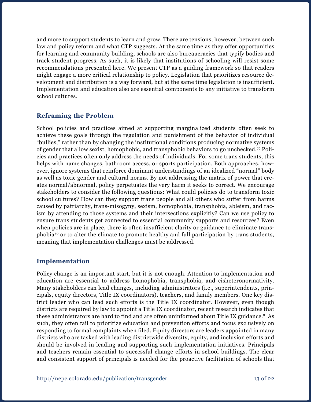and more to support students to learn and grow. There are tensions, however, between such law and policy reform and what CTP suggests. At the same time as they offer opportunities for learning and community building, schools are also bureaucracies that typify bodies and track student progress. As such, it is likely that institutions of schooling will resist some recommendations presented here. We present CTP as a guiding framework so that readers might engage a more critical relationship to policy. Legislation that prioritizes resource development and distribution is a way forward, but at the same time legislation is insufficient. Implementation and education also are essential components to any initiative to transform school cultures.

### **Reframing the Problem**

School policies and practices aimed at supporting marginalized students often seek to achieve these goals through the regulation and punishment of the behavior of individual "bullies," rather than by changing the institutional conditions producing normative systems of gender that allow sexist, homophobic, and transphobic behaviors to go unchecked.79 Policies and practices often only address the needs of individuals. For some trans students, this helps with name changes, bathroom access, or sports participation. Both approaches, however, ignore systems that reinforce dominant understandings of an idealized "normal" body as well as toxic gender and cultural norms. By not addressing the matrix of power that creates normal/abnormal, policy perpetuates the very harm it seeks to correct. We encourage stakeholders to consider the following questions: What could policies do to transform toxic school cultures? How can they support trans people and all others who suffer from harms caused by patriarchy, trans-misogyny, sexism, homophobia, transphobia, ableism, and racism by attending to those systems and their intersections explicitly? Can we use policy to ensure trans students get connected to essential community supports and resources? Even when policies are in place, there is often insufficient clarity or guidance to eliminate transphobia80 or to alter the climate to promote healthy and full participation by trans students, meaning that implementation challenges must be addressed.

### **Implementation**

Policy change is an important start, but it is not enough. Attention to implementation and education are essential to address homophobia, transphobia, and cisheteronormativity. Many stakeholders can lead changes, including administrators (i.e., superintendents, principals, equity directors, Title IX coordinators), teachers, and family members. One key district leader who can lead such efforts is the Title IX coordinator. However, even though districts are required by law to appoint a Title IX coordinator, recent research indicates that these administrators are hard to find and are often uninformed about Title IX guidance.<sup>81</sup> As such, they often fail to prioritize education and prevention efforts and focus exclusively on responding to formal complaints when filed. Equity directors are leaders appointed in many districts who are tasked with leading districtwide diversity, equity, and inclusion efforts and should be involved in leading and supporting such implementation initiatives. Principals and teachers remain essential to successful change efforts in school buildings. The clear and consistent support of principals is needed for the proactive facilitation of schools that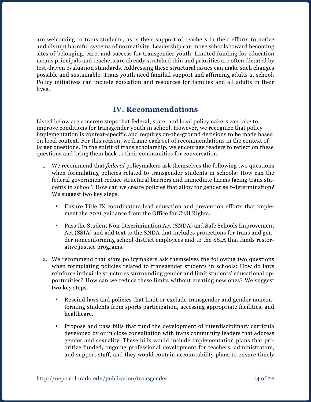are welcoming to trans students, as is their support of teachers in their efforts to notice and disrupt harmful systems of normativity. Leadership can move schools toward becoming sites of belonging, care, and success for transgender youth. Limited funding for education means principals and teachers are already stretched thin and priorities are often dictated by test-driven evaluation standards. Addressing these structural issues can make such changes possible and sustainable. Trans youth need familial support and affirming adults at school. Policy initiatives can include education and resources for families and all adults in their lives.

# **IV. Recommendations**

Listed below are concrete steps that federal, state, and local policymakers can take to improve conditions for transgender youth in school. However, we recognize that policy implementation is context-specific and requires on-the-ground decisions to be made based on local context. For this reason, we frame each set of recommendations in the context of larger questions. In the spirit of trans scholarship, we encourage readers to reflect on these questions and bring them back to their communities for conversation.

- 1. We recommend that *federal* policymakers ask themselves the following two questions when formulating policies related to transgender students in schools: How can the federal government reduce structural barriers and immediate harms facing trans students in school? How can we create policies that allow for gender self-determination? We suggest two key steps.
	- • Ensure Title IX coordinators lead education and prevention efforts that implement the 2021 guidance from the Office for Civil Rights.
	- • Pass the Student Non-Discrimination Act (SNDA) and Safe Schools Improvement Act (SSIA) and add text to the SNDA that includes protections for trans and gender nonconforming school district employees and to the SSIA that funds restorative justice programs.
- 2. We recommend that *state* policymakers ask themselves the following two questions when formulating policies related to transgender students in schools: How do laws reinforce inflexible structures surrounding gender and limit students' educational opportunities? How can we reduce these limits without creating new ones? We suggest two key steps.
	- • Rescind laws and policies that limit or exclude transgender and gender nonconforming students from sports participation, accessing appropriate facilities, and healthcare.
	- • Propose and pass bills that fund the development of interdisciplinary curricula developed by or in close consultation with trans community leaders that address gender and sexuality. These bills would include implementation plans that prioritize funded, ongoing professional development for teachers, administrators, and support staff, and they would contain accountability plans to ensure timely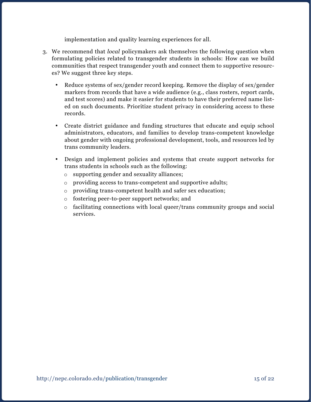implementation and quality learning experiences for all.

- 3. We recommend that *local* policymakers ask themselves the following question when formulating policies related to transgender students in schools: How can we build communities that respect transgender youth and connect them to supportive resources? We suggest three key steps.
	- Reduce systems of sex/gender record keeping. Remove the display of sex/gender markers from records that have a wide audience (e.g., class rosters, report cards, and test scores) and make it easier for students to have their preferred name listed on such documents. Prioritize student privacy in considering access to these records.
	- • Create district guidance and funding structures that educate and equip school administrators, educators, and families to develop trans-competent knowledge about gender with ongoing professional development, tools, and resources led by trans community leaders.
	- • Design and implement policies and systems that create support networks for trans students in schools such as the following:
		- o supporting gender and sexuality alliances;
		- o providing access to trans-competent and supportive adults;
		- o providing trans-competent health and safer sex education;
		- o fostering peer-to-peer support networks; and
		- $\circ$  facilitating connections with local queer/trans community groups and social services.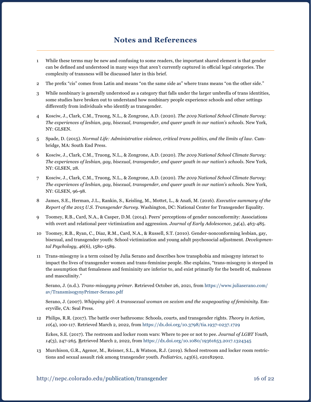## **Notes and References**

- 1 While these terms may be new and confusing to some readers, the important shared element is that gender can be defined and understood in many ways that aren't currently captured in official legal categories. The complexity of transness will be discussed later in this brief.
- 2 The prefix "cis" comes from Latin and means "on the same side as" where trans means "on the other side."
- 3 While nonbinary is generally understood as a category that falls under the larger umbrella of trans identities, some studies have broken out to understand how nonbinary people experience schools and other settings differently from individuals who identify as transgender.
- 4 Kosciw, J., Clark, C.M., Truong, N.L., & Zongrone, A.D. (2020). *The 2019 National School Climate Survey: The experiences of lesbian, gay, bisexual, transgender, and queer youth in our nation's schools.* New York, NY: GLSEN.
- 5 Spade, D. (2015). *Normal Life: Administrative violence, critical trans politics, and the limits of law.* Cambridge, MA: South End Press.
- 6 Kosciw, J., Clark, C.M., Truong, N.L., & Zongrone, A.D. (2020). *The 2019 National School Climate Survey: The experiences of lesbian, gay, bisexual, transgender, and queer youth in our nation's schools.* New York, NY: GLSEN, 28.
- 7 Kosciw, J., Clark, C.M., Truong, N.L., & Zongrone, A.D. (2020). *The 2019 National School Climate Survey: The experiences of lesbian, gay, bisexual, transgender, and queer youth in our nation's schools.* New York, NY: GLSEN*,* 96-98.
- 8 James, S.E., Herman, J.L., Rankin, S., Keisling, M., Mottet, L., & Anafi, M. (2016). *Executive summary of the Report of the 2015 U.S. Transgender Survey.* Washington, DC: National Center for Transgender Equality.
- 9 Toomey, R.B., Card, N.A., & Casper, D.M. (2014). Peers' perceptions of gender nonconformity: Associations with overt and relational peer victimization and aggression. *Journal of Early Adolescence, 34*(4), 463-485.
- 10 Toomey, R.B., Ryan, C., Diaz, R.M., Card, N.A., & Russell, S.T. (2010). Gender-nonconforming lesbian, gay, bisexual, and transgender youth: School victimization and young adult psychosocial adjustment. *Developmental Psychology, 46*(6), 1580-1589.
- 11 Trans-misogyny is a term coined by Julia Serano and describes how transphobia and misogyny interact to impact the lives of transgender women and trans-feminine people. She explains, "trans-misogyny is steeped in the assumption that femaleness and femininity are inferior to, and exist primarily for the benefit of, maleness and masculinity."

Serano, J. (n.d.). *Trans-misogyny primer*. Retrieved October 26, 2021, from [https://www.juliaserano.com/](https://www.juliaserano.com/av/TransmisogynyPrimer-Serano.pdf) [av/TransmisogynyPrimer-Serano.pdf](https://www.juliaserano.com/av/TransmisogynyPrimer-Serano.pdf)

Serano, J. (2007). *Whipping girl: A transsexual woman on sexism and the scapegoating of femininity*. Emeryville, CA: Seal Press.

12 Philips, R.R. (2017). The battle over bathrooms: Schools, courts, and transgender rights. *Theory in Action, 10*(4), 100-117. Retrieved March 2, 2022, from [https://dx.doi.org/10.3798/tia.1937-0237.1729](file:///Users/almilstein/Dropbox/MILK%20DEBACLE%2012.20.19/NEPC/DROPBOX%20STUFF%20USE%20THIS%20FOR%20EVERYTHING/PUBLICATIONS/PB/Meyer%2c%20Leonardi%2c%20%26%20Keenan%20trans/bathrooms:%20Schools,%20courts,%20and%20transgender%20rights.%20Theory%20in%20Action,%2010(4),%20100-117.%20Retrieved%20March%202,%202022,%20from%20https://dx.doi.org/10.3798/tia.1937-0237.1729)

Eckes, S.E. (2017). The restroom and locker room wars: Where to pee or not to pee. *Journal of LGBT Youth, 14*(3), 247-265. Retrieved March 2, 2022, from <https://dx.doi.org/10.1080/19361653.2017.1324345>

13 Murchison, G.R., Agenor, M., Reisner, S.L., & Watson, R.J. (2019). School restroom and locker room restrictions and sexual assault risk among transgender youth. *Pediatrics, 143*(6), e20182902.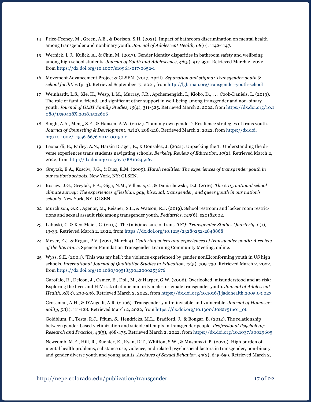- 14 Price-Feeney, M., Green, A.E., & Dorison, S.H. (2021). Impact of bathroom discrimination on mental health among transgender and nonbinary youth. *Journal of Adolescent Health, 68*(6), 1142-1147.
- 15 Wernick, L.J., Kulick, A., & Chin, M. (2017). Gender identity disparities in bathroom safety and wellbeing among high school students. *Journal of Youth and Adolescence, 46*(5), 917-930. Retrieved March 2, 2022, from <https://dx.doi.org/10.1007/s10964-017-0652-1>
- 16 Movement Advancement Project & GLSEN. (2017, April). *Separation and stigma: Transgender youth & school facilities* (p. 3). Retrieved September 17, 2021, from <http://lgbtmap.org/transgender-youth-school>
- 17 Weinhardt, L.S., Xie, H., Wesp, L.M., Murray, J.R., Apchemengich, I., Kioko, D., . . . Cook-Daniels, L. (2019). The role of family, friend, and significant other support in well-being among transgender and non-binary youth. *Journal of GLBT Family Studies, 15*(4), 311-325. Retrieved March 2, 2022, from [https://dx.doi.org/10.1](https://dx.doi.org/10.1080/1550428X.2018.1522606) [080/1550428X.2018.1522606](https://dx.doi.org/10.1080/1550428X.2018.1522606)
- 18 Singh, A.A., Meng, S.E., & Hansen, A.W. (2014). "I am my own gender": Resilience strategies of trans youth. *Journal of Counseling & Development, 92*(2), 208-218. Retrieved March 2, 2022, from [https://dx.doi.](https://dx.doi.org/10.1002/j.1556-6676.2014.00150.x) [org/10.1002/j.1556-6676.2014.00150.x](https://dx.doi.org/10.1002/j.1556-6676.2014.00150.x)
- 19 Leonardi, B., Farley, A.N., Harsin Drager, E., & Gonzalez, J. (2021). Unpacking the T: Understanding the diverse experiences trans students navigating schools. *Berkeley Review of Education, 10*(2). Retrieved March 2, 2022, from <http://dx.doi.org/10.5070/B810245267>
- 20 Greytak, E.A., Kosciw, J.G., & Diaz, E.M. (2009). *Harsh realities: The experiences of transgender youth in our nation's schools*. New York, NY: GLSEN.
- 21 Kosciw, J.G., Greytak, E.A., Giga, N.M., Villenas, C., & Danischewski, D.J. (2016). *The 2015 national school climate survey: The experiences of lesbian, gay, bisexual, transgender, and queer youth in our nation's schools.* New York, NY: GLSEN.
- 22 Murchison, G.R., Agenor, M., Reisner, S.L., & Watson, R.J. (2019). School restroom and locker room restrictions and sexual assault risk among transgender youth. *Pediatrics, 143*(6), e20182902.
- 23 Labuski, C. & Keo-Meier, C. (2015). The (mis)measure of trans. *TSQ: Transgender Studies Quarterly*, *2*(1), 13-33. Retrieved March 2, 2022, from <https://dx.doi.org/10.1215/23289252-2848868>
- 24 Meyer, E.J. & Regan, P.V. (2021, March 9). *Centering voices and experiences of transgender youth: A review of the literature.* Spencer Foundation Transgender Learning Community Meeting, online.
- 25 Wyss, S.E. (2004). 'This was my hell': the violence experienced by gender non  $\Box$  conforming youth in US high schools. *International Journal of Qualitative Studies in Education, 17*(5), 709-730. Retrieved March 2, 2022, from <https://dx.doi.org/10.1080/0951839042000253676>

Garofalo, R., Deleon, J., Osmer, E., Doll, M., & Harper, G.W. (2006). Overlooked, misunderstood and at-risk: Exploring the lives and HIV risk of ethnic minority male-to-female transgender youth. *Journal of Adolescent Health, 38*(3), 230-236. Retrieved March 2, 2022, from <https://dx.doi.org/10.1016/j.jadohealth.2005.03.023>

Grossman, A.H., & D'Augelli, A.R. (2006). Transgender youth: invisible and vulnerable. *Journal of Homosexuality, 51*(1), 111-128. Retrieved March 2, 2022, from [https://dx.doi.org/10.1300/J082v51n01\\_06](https://dx.doi.org/10.1300/J082v51n01_06)

Goldblum, P., Testa, R.J., Pflum, S., Hendricks, M.L., Bradford, J., & Bongar, B. (2012). The relationship between gender-based victimization and suicide attempts in transgender people. *Professional Psychology: Research and Practice, 43*(5), 468-475. Retrieved March 2, 2022, from <https://dx.doi.org/10.1037/a0029605>

Newcomb, M.E., Hill, R., Buehler, K., Ryan, D.T., Whitton, S.W., & Mustanski, B. (2020). High burden of mental health problems, substance use, violence, and related psychosocial factors in transgender, non-binary, and gender diverse youth and young adults. *Archives of Sexual Behavior, 49*(2), 645-659. Retrieved March 2,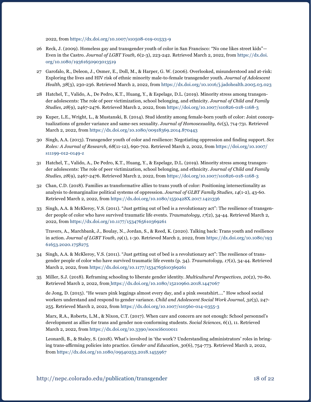2022, from <https://dx.doi.org/10.1007/s10508-019-01533-9>

- 26 Reck, J. (2009). Homeless gay and transgender youth of color in San Francisco: "No one likes street kids"— Even in the Castro. *Journal of LGBT Youth, 6*(2-3), 223-242. Retrieved March 2, 2022, from [https://dx.doi.](https://dx.doi.org/10.1080/19361650903013519) [org/10.1080/19361650903013519](https://dx.doi.org/10.1080/19361650903013519)
- 27 Garofalo, R., Deleon, J., Osmer, E., Doll, M., & Harper, G. W. (2006). Overlooked, misunderstood and at-risk: Exploring the lives and HIV risk of ethnic minority male-to-female transgender youth. *Journal of Adolescent Health, 38*(3), 230-236. Retrieved March 2, 2022, from <https://dx.doi.org/10.1016/j.jadohealth.2005.03.023>
- 28 Hatchel, T., Valido, A., De Pedro, K.T., Huang, Y., & Espelage, D.L. (2019). Minority stress among transgender adolescents: The role of peer victimization, school belonging, and ethnicity. *Journal of Child and Family Studies, 28*(9), 2467-2476. Retrieved March 2, 2022, from <https://doi.org/10.1007/s10826-018-1168-3>
- 29 Kuper, L.E., Wright, L., & Mustanski, B. (2014). Stud identity among female-born youth of color: Joint conceptualizations of gender variance and same-sex sexuality. *Journal of Homosexuality, 61*(5), 714-731. Retrieved March 2, 2022, from <https://dx.doi.org/10.1080/00918369.2014.870443>
- 30 Singh, A.A. (2013). Transgender youth of color and resilience: Negotiating oppression and finding support. *Sex Roles: A Journal of Research, 68*(11-12), 690-702. Retrieved March 2, 2022, from [https://doi.org/10.1007/](https://doi.org/10.1007/s11199-012-0149-z) [s11199-012-0149-z](https://doi.org/10.1007/s11199-012-0149-z)
- 31 Hatchel, T., Valido, A., De Pedro, K.T., Huang, Y., & Espelage, D.L. (2019). Minority stress among transgender adolescents: The role of peer victimization, school belonging, and ethnicity. *Journal of Child and Family Studies, 28*(9), 2467-2476. Retrieved March 2, 2022, from <https://doi.org/10.1007/s10826-018-1168-3>
- 32 Chan, C.D. (2018). Families as transformative allies to trans youth of color: Positioning intersectionality as analysis to demarginalize political systems of oppression. *Journal of GLBT Family Studies, 14*(1-2), 43-60. Retrieved March 2, 2022, from <https://dx.doi.org/10.1080/1550428X.2017.1421336>
- 33 Singh, A.A. & McKleroy, V.S. (2011). "Just getting out of bed is a revolutionary act": The resilience of transgender people of color who have survived traumatic life events. *Traumatology, 17*(2), 34-44. Retrieved March 2, 2022, from <https://dx.doi.org/10.1177/1534765610369261>

Travers, A., Marchbank, J., Boulay, N., Jordan, S., & Reed, K. (2020). Talking back: Trans youth and resilience in action. *Journal of LGBT Youth*, *19*(1), 1-30. Retrieved March 2, 2022, from [https://dx.doi.org/10.1080/193](https://dx.doi.org/10.1080/19361653.2020.1758275) [61653.2020.1758275](https://dx.doi.org/10.1080/19361653.2020.1758275)

- 34 Singh, A.A. & McKleroy, V.S. (2011). "Just getting out of bed is a revolutionary act": The resilience of transgender people of color who have survived traumatic life events (p. 34). *Traumatology, 17*(2), 34-44. Retrieved March 2, 2022, from<https://dx.doi.org/10.1177/1534765610369261>
- 35 Miller, S.J. (2018). Reframing schooling to liberate gender identity. *Multicultural Perspectives, 20*(2), 70-80. Retrieved March 2, 2022, from <https://dx.doi.org/10.1080/15210960.2018.1447067>

de Jong, D. (2015). "He wears pink leggings almost every day, and a pink sweatshirt…." How school social workers understand and respond to gender variance. *Child and Adolescent Social Work Journal, 32*(3), 247- 255. Retrieved March 2, 2022, from <https://dx.doi.org/10.1007/s10560-014-0355-3>

Marx, R.A., Roberts, L.M., & Nixon, C.T. (2017). When care and concern are not enough: School personnel's development as allies for trans and gender non-conforming students. *Social Sciences, 6*(1), 11. Retrieved March 2, 2022, from <https://dx.doi.org/10.3390/socsci6010011>

Leonardi, B., & Staley, S. (2018). What's involved in 'the work'? Understanding administrators' roles in bringing trans-affirming policies into practice. *Gender and Education, 30*(6), 754-773. Retrieved March 2, 2022, from <https://dx.doi.org/10.1080/09540253.2018.1455967>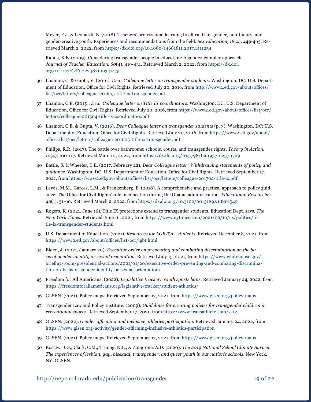Meyer, E.J. & Leonardi, B. (2018). Teachers' professional learning to affirm transgender, non-binary, and gender-creative youth: Experiences and recommendations from the field. *Sex Education, 18*(4), 449-463. Retrieved March 2, 2022, from<https://dx.doi.org/10.1080/14681811.2017.1411254>

Rands, K.E. (2009). Considering transgender people in education: A gender-complex approach. *Journal of Teacher Education, 60*(4), 419-431. Retrieved March 2, 2022, from [https://dx.doi.](https://dx.doi.org/10.1177%2F0022487109341475) [org/10.1177%2F0022487109341475](https://dx.doi.org/10.1177%2F0022487109341475)

- 36 Lhamon, C. & Gupta, V. (2016*). Dear Colleague letter on transgender students*. Washington, DC: U.S. Department of Education, Office for Civil Rights. Retrieved July 20, 2016, from [http://www2.ed.gov/about/offices/](http://www2.ed.gov/about/offices/list/ocr/letters/colleague-201605-title-ix-transgender.pdf) [list/ocr/letters/colleague-201605-title-ix-transgender.pdf](http://www2.ed.gov/about/offices/list/ocr/letters/colleague-201605-title-ix-transgender.pdf)
- 37 Lhamon, C.E. (2015). *Dear Colleague letter on Title IX coordinators*. Washington, DC: U.S. Department of Education, Office for Civil Rights. Retrieved July 20, 2016, from [https://www2.ed.gov/about/offices/list/ocr/](https://www2.ed.gov/about/offices/list/ocr/letters/colleague-201504-title-ix-coordinators.pdf) [letters/colleague-201504-title-ix-coordinators.pdf](https://www2.ed.gov/about/offices/list/ocr/letters/colleague-201504-title-ix-coordinators.pdf)
- 38 Lhamon, C.E. & Gupta, V. (2016). *Dear Colleague letter on transgender students* (p. 3). Washington, DC: U.S. Department of Education, Office for Civil Rights. Retrieved July 20, 2016, from [https://www2.ed.gov/about/](https://www2.ed.gov/about/offices/list/ocr/letters/colleague-201605-title-ix-transgender.pdf) [offices/list/ocr/letters/colleague-201605-title-ix-transgender.pdf](https://www2.ed.gov/about/offices/list/ocr/letters/colleague-201605-title-ix-transgender.pdf)
- 39 Philips, R.R. (2017). The battle over bathrooms: schools, courts, and transgender rights. *Theory in Action, 10*(4), 100-117. Retrieved March 2, 2022, from <https://dx.doi.org/10.3798/tia.1937-0237.1729>
- 40 Battle, S. & Wheeler, T.E. (2017, February 22). *Dear Colleague letter: Withdrawing statements of policy and guidance*. Washington, DC: U.S. Department of Education, Office for Civil Rights. Retrieved September 17, 2021, from <https://www2.ed.gov/about/offices/list/ocr/letters/colleague-201702-title-ix.pdf>
- 41 Lewis, M.M., Garces, L.M., & Frankenberg, E. (2018). A comprehensive and practical approach to policy guidance: The Office for Civil Rights' role in education during the Obama administration. *Educational Researcher*, *48*(1), 51-60. Retrieved March 2, 2022, from <https://dx.doi.org/10.3102/0013189X18801549>
- 42 Rogers, K. (2021, June 16). Title IX protections extend to transgender students, Education Dept. says. *The New York Times*. Retrieved June 16, 2021, from [https://www.nytimes.com/2021/06/16/us/politics/ti](https://www.nytimes.com/2021/06/16/us/politics/title-ix-transgender-students.html)[tle-ix-transgender-students.html](https://www.nytimes.com/2021/06/16/us/politics/title-ix-transgender-students.html)
- 43 U.S. Department of Education. (2021). *Resources for LGBTQI+ students*. Retrieved December 8, 2021, from <https://www2.ed.gov/about/offices/list/ocr/lgbt.html>
- 44 Biden, J. (2021, January 20). *Executive order on preventing and combating discrimination on the basis of gender identity or sexual orientation.* Retrieved July 15, 2021, from [https://www.whitehouse.gov/](https://www.whitehouse.gov/briefing-room/presidential-actions/2021/01/20/executive-order-preventing-and-combating-discrimination-on-basis-of-gender-identity-or-sexual-orientation/) [briefing-room/presidential-actions/2021/01/20/executive-order-preventing-and-combating-discrimina](https://www.whitehouse.gov/briefing-room/presidential-actions/2021/01/20/executive-order-preventing-and-combating-discrimination-on-basis-of-gender-identity-or-sexual-orientation/)[tion-on-basis-of-gender-identity-or-sexual-orientation/](https://www.whitehouse.gov/briefing-room/presidential-actions/2021/01/20/executive-order-preventing-and-combating-discrimination-on-basis-of-gender-identity-or-sexual-orientation/)
- 45 Freedom for All Americans. (2022). *Legislative tracker: Youth sports bans*. Retrieved January 24, 2022, from <https://freedomforallamericans.org/legislative-tracker/student-athletics/>
- 46 GLSEN. (2021). Policy maps. Retrieved September 17, 2021, from<https://www.glsen.org/policy-maps>
- 47 Transgender Law and Policy Institute. (2009). *Guidelines for creating policies for transgender children in recreational sports.* Retrieved September 17, 2021, from<https://www.transathlete.com/k-12>
- 48 GLSEN. (2022). *Gender affirming and inclusive athletics participation.* Retrieved January 24, 2022, from <https://www.glsen.org/activity/gender-affirming-inclusive-athletics-participation>
- 49 GLSEN. (2021). Policy maps. Retrieved September 17, 2021, from<https://www.glsen.org/policy-maps>
- 50 Kosciw, J.G., Clark, C.M., Truong, N.L., & Zongrone, A.D. (2020). *The 2019 National School Climate Survey: The experiences of lesbian, gay, bisexual, transgender, and queer youth in our nation's schools.* New York, NY: GLSEN.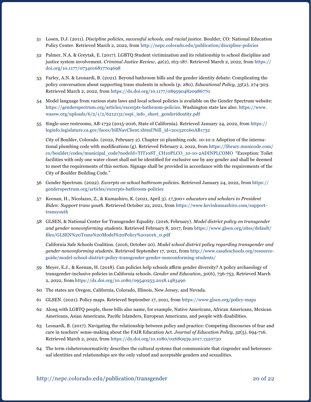- 51 Losen, D.J. (2011). *Discipline policies, successful schools, and racial justice*. Boulder, CO: National Education Policy Center. Retrieved March 2, 2022, from <http://nepc.colorado.edu/publication/discipline-policies>
- 52 Palmer, N.A. & Greytak, E. (2017). LGBTQ Student victimization and its relationship to school discipline and justice system involvement. *Criminal Justice Review*, *42*(2), 163-187. Retrieved March 2, 2022, from [https://](https://doi.org/10.1177/0734016817704698) [doi.org/10.1177/0734016817704698](https://doi.org/10.1177/0734016817704698)
- 53 Farley, A.N. & Leonardi, B. (2021). Beyond bathroom bills and the gender identity debate: Complicating the policy conversation about supporting trans students in schools (p. 280). *Educational Policy, 35*(2), 274-303. Retrieved March 2, 2022, from <https://dx.doi.org/10.1177/0895904820986770>
- 54 Model language from various state laws and local school policies is available on the Gender Spectrum website: [https://genderspectrum.org/articles/excerpts-bathroom-policies.](https://genderspectrum.org/articles/excerpts-bathroom-policies) Washington state law also: [https://www.](https://www.wassw.org/uploads/6/2/1/2/6212131/ospi_info_sheet_genderidentity.pdf) [wassw.org/uploads/6/2/1/2/6212131/ospi\\_info\\_sheet\\_genderidentity.pdf](https://www.wassw.org/uploads/6/2/1/2/6212131/ospi_info_sheet_genderidentity.pdf)
- 55 Single-user restrooms, AB-1732 (2015-2016, State of California). Retrieved January 24, 2022, from [https://](https://leginfo.legislature.ca.gov/faces/billNavClient.xhtml?bill_id=201520160AB1732) [leginfo.legislature.ca.gov/faces/billNavClient.xhtml?bill\\_id=201520160AB1732](https://leginfo.legislature.ca.gov/faces/billNavClient.xhtml?bill_id=201520160AB1732)

City of Boulder, Colorado. (2022, February 2). Chapter 10 plumbing code. 10-10-2 Adoption of the international plumbing code with modifications (g). Retrieved February 2, 2022, from [https://library.municode.com/](https://library.municode.com/co/boulder/codes/municipal_code?nodeId=TIT10ST_CH10PLCO_10-10-2ADINPLCOMO) [co/boulder/codes/municipal\\_code?nodeId=TIT10ST\\_CH10PLCO\\_10-10-2ADINPLCOMO](https://library.municode.com/co/boulder/codes/municipal_code?nodeId=TIT10ST_CH10PLCO_10-10-2ADINPLCOMO) "Exception: Toilet facilities with only one water closet shall not be identified for exclusive use by any gender and shall be deemed to meet the requirements of this section. Signage shall be provided in accordance with the requirements of the City of Boulder Building Code."

- 56 Gender Spectrum. (2022). *Excerpts on school bathroom policies.* Retrieved January 24, 2022, from [https://](https://genderspectrum.org/articles/excerpts-bathroom-policies) [genderspectrum.org/articles/excerpts-bathroom-policies](https://genderspectrum.org/articles/excerpts-bathroom-policies)
- 57 Keenan, H., Nicolazzo, Z., & Kumashiro, K. (2021, April 3). *17,300+ educators and scholars to President Biden: Support trans youth.* Retrieved October 22, 2021, from [https://www.kevinkumashiro.com/support](https://www.kevinkumashiro.com/supporttransyouth)[transyouth](https://www.kevinkumashiro.com/supporttransyouth)
- 58 GLSEN, & National Center for Transgender Equality. (2016, February). *Model district policy on transgender and gender nonconforming students.* Retrieved February 8, 2017, from [https://www.glsen.org/sites/default/](https://www.glsen.org/sites/default/files/GLSEN%20Trans%20Model%20Policy%202016_0.pdf) [files/GLSEN%20Trans%20Model%20Policy%202016\\_0.pdf](https://www.glsen.org/sites/default/files/GLSEN%20Trans%20Model%20Policy%202016_0.pdf)

California Safe Schools Coalition. (2016, October 20). *Model school district policy regarding transgender and gender nonconforming students*. Retrieved September 17, 2021, from [http://www.casafeschools.org/resource](http://www.casafeschools.org/resourceguide/model-school-district-policy-transgender-gender-nonconforming-students/)[guide/model-school-district-policy-transgender-gender-nonconforming-students/](http://www.casafeschools.org/resourceguide/model-school-district-policy-transgender-gender-nonconforming-students/)

- 59 Meyer, E.J., & Keenan, H. (2018). Can policies help schools affirm gender diversity? A policy archaeology of transgender-inclusive policies in California schools. *Gender and Education, 30*(6), 736-753. Retrieved March 2, 2022, from <https://dx.doi.org/10.1080/09540253.2018.1483490>
- 60 The states are Oregon, California, Colorado, Illinois, New Jersey, and Nevada.
- 61 GLSEN. (2021). Policy maps. Retrieved September 17, 2021, from<https://www.glsen.org/policy-maps>
- 62 Along with LGBTQ people, these bills also name, for example, Native Americans, African Americans, Mexican Americans, Asian Americans, Pacific Islanders, European Americans, and people with disabilities.
- 63 Leonardi, B. (2017). Navigating the relationship between policy and practice: Competing discourses of fear and care in teachers' sense-making about the FAIR Education Act. *Journal of Education Policy, 32*(5), 694-716. Retrieved March 2, 2022, from <https://dx.doi.org/10.1080/02680939.2017.1320730>
- 64 The term cisheteronormativity describes the cultural systems that communicate that cisgender and heterosexual identities and relationships are the only valued and acceptable genders and sexualities.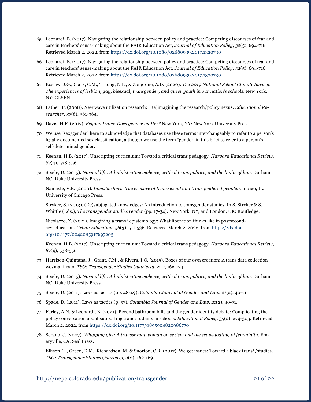- 65 Leonardi, B. (2017). Navigating the relationship between policy and practice: Competing discourses of fear and care in teachers' sense-making about the FAIR Education Act, *Journal of Education Policy*, *32*(5), 694-716. Retrieved March 2, 2022, from <https://dx.doi.org/10.1080/02680939.2017.1320730>
- 66 Leonardi, B. (2017). Navigating the relationship between policy and practice: Competing discourses of fear and care in teachers' sense-making about the FAIR Education Act, *Journal of Education Policy*, *32*(5), 694-716. Retrieved March 2, 2022, from <https://dx.doi.org/10.1080/02680939.2017.1320730>
- 67 Kosciw, J.G., Clark, C.M., Truong, N.L., & Zongrone, A.D. (2020). *The 2019 National School Climate Survey: The experiences of lesbian, gay, bisexual, transgender, and queer youth in our nation's schools.* New York, NY: GLSEN.
- 68 Lather, P. (2008). New wave utilization research: (Re)imagining the research/policy nexus. *Educational Researcher, 37*(6), 361-364.
- 69 Davis, H.F. (2017). *Beyond trans: Does gender matter?* New York, NY: New York University Press.
- 70 We use "sex/gender" here to acknowledge that databases use these terms interchangeably to refer to a person's legally documented sex classification, although we use the term "gender' in this brief to refer to a person's self-determined gender.
- 71 Keenan, H.B. (2017). Unscripting curriculum: Toward a critical trans pedagogy. *Harvard Educational Review, 87*(4), 538-556.
- 72 Spade, D. (2015). *Normal life: Administrative violence, critical trans politics, and the limits of law*. Durham, NC: Duke University Press.

Namaste, V.K. (2000). *Invisible lives: The erasure of transsexual and transgendered people*. Chicago, IL: University of Chicago Press.

Stryker, S. (2013). (De)subjugated knowledges: An introduction to transgender studies. In S. Stryker & S. Whittle (Eds.), *The transgender studies reader* (pp. 17-34). New York, NY, and London, UK: Routledge.

Nicolazzo, Z. (2021). Imagining a trans\* epistemology: What liberation thinks like in postsecondary education. *Urban Education*, *56*(3), 511-536. Retrieved March 2, 2022, from [https://dx.doi.](https://dx.doi.org/10.1177/0042085917697203) [org/10.1177/0042085917697203](https://dx.doi.org/10.1177/0042085917697203)

Keenan, H.B. (2017). Unscripting curriculum: Toward a critical trans pedagogy. *Harvard Educational Review*, *87*(4), 538-556.

- 73 Harrison-Quintana, J., Grant, J.M., & Rivera, I.G. (2015). Boxes of our own creation: A trans data collection wo/manifesto. *TSQ: Transgender Studies Quarterly*, 2(1), 166-174.
- 74 Spade, D. (2015). *Normal life: Administrative violence, critical trans politics, and the limits of law.* Durham, NC: Duke University Press.
- 75 Spade, D. (2011). Laws as tactics (pp. 48-49). *Columbia Journal of Gender and Law*, *21*(2), 40-71.
- 76 Spade, D. (2011). Laws as tactics (p. 57). *Columbia Journal of Gender and Law*, *21*(2), 40-71.
- 77 Farley, A.N. & Leonardi, B. (2021). Beyond bathroom bills and the gender identity debate: Complicating the policy conversation about supporting trans students in schools. *Educational Policy, 35*(2), 274-303. Retrieved March 2, 2022, from<https://dx.doi.org/10.1177/0895904820986770>
- 78 Serano, J. (2007). *Whipping girl: A transsexual woman on sexism and the scapegoating of femininity.* Emeryville, CA: Seal Press.

Ellison, T., Green, K.M., Richardson, M, & Snorton, C.R. (2017). We got issues: Toward a black trans\*/studies. *TSQ: Transgender Studies Quarterly, 4*(2), 162-169.